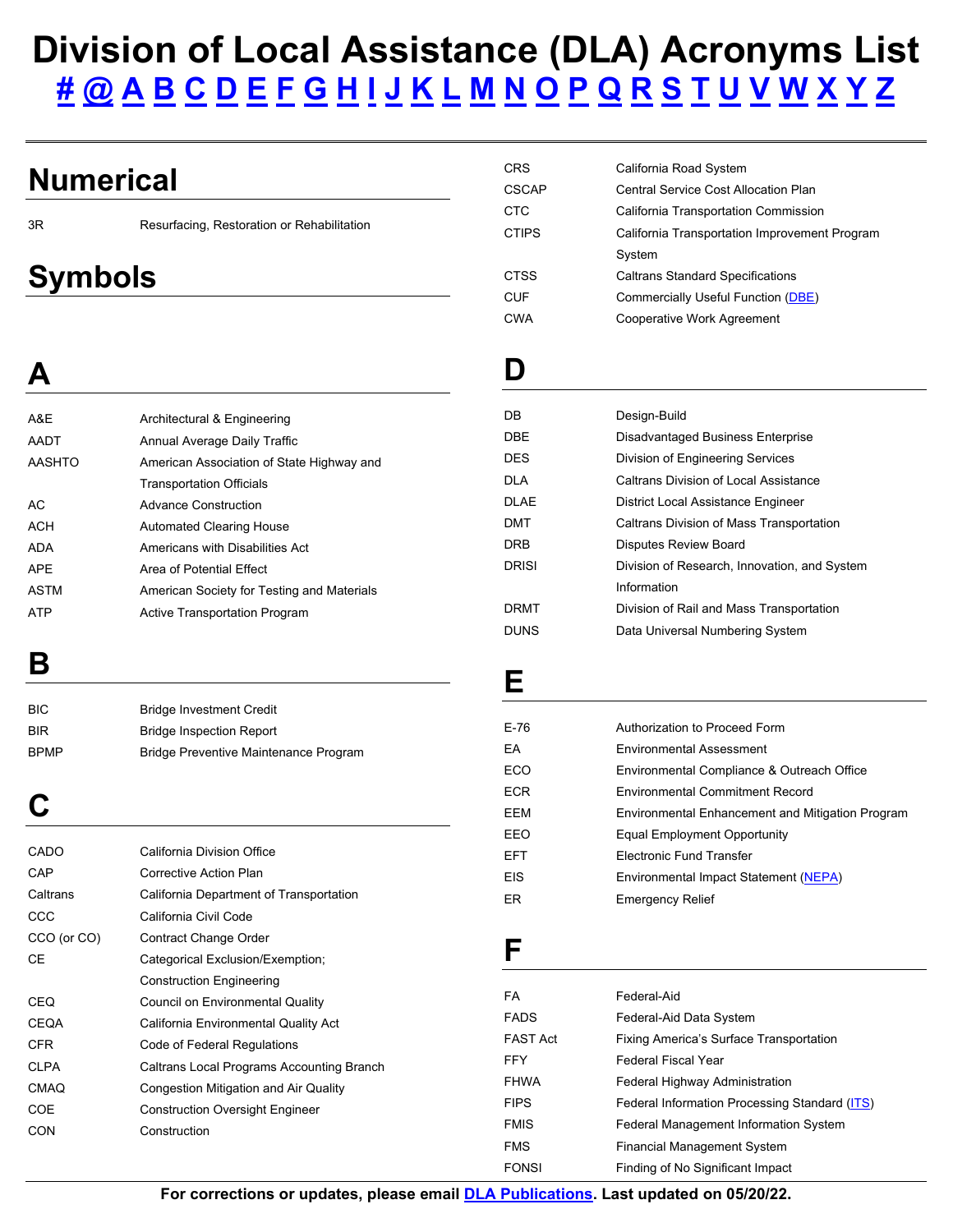# **Division of Local Assistance (DLA) Acronyms List** <u> [#](#page-0-0) [@](#page-0-1) [A](#page-0-1) [B](#page-0-2) [C](#page-0-3) [D](#page-0-4) [E](#page-0-5) [F](#page-0-6) [G](#page-1-0) [H](#page-1-1) [I](#page-1-2) [J](#page-1-3) [K](#page-1-4) [L](#page-1-5) [M](#page-1-6) [N](#page-1-7) [O](#page-1-8) [P](#page-1-9) [Q](#page-2-0) [R](#page-2-1) [S](#page-2-2) [T](#page-2-3) [U](#page-2-4) [V](#page-2-5) [W](#page-2-6) [X](#page-2-7) [Y](#page-2-8) Z</u>

**CRS** 

## <span id="page-0-0"></span>**Numerical**

3R

Resurfacing, Restoration or Rehabilitation

# <span id="page-0-1"></span>**Symbols**

<span id="page-0-4"></span>

| <b>CTC</b>   | California Transportation Commission          |
|--------------|-----------------------------------------------|
| <b>CTIPS</b> | California Transportation Improvement Program |
|              | System                                        |
| <b>CTSS</b>  | <b>Caltrans Standard Specifications</b>       |
| CUF          | Commercially Useful Function (DBE)            |
| <b>CWA</b>   | Cooperative Work Agreement                    |
|              |                                               |
| D            |                                               |
|              |                                               |
| DB           | Design-Build                                  |
| <b>DBE</b>   | Disadvantaged Business Enterprise             |
| <b>DES</b>   | Division of Engineering Services              |
| <b>DLA</b>   | <b>Caltrans Division of Local Assistance</b>  |
| <b>DLAE</b>  | District Local Assistance Engineer            |
| DMT          | Caltrans Division of Mass Transportation      |

California Road System CSCAP Central Service Cost Allocation Plan

<span id="page-0-7"></span>Disputes Review Board DRISI Division of Research, Innovation, and System

DRMT Division of Rail and Mass Transportation DUNS Data Universal Numbering System

Information

### A&E **AADT A**  Architectural & Engineering Annual Average Daily Traffic AASHTO American Association of State Highway and Transportation Officials

| AC   | <b>Advance Construction</b>                |
|------|--------------------------------------------|
| ACH  | Automated Clearing House                   |
| ADA  | Americans with Disabilities Act            |
| APE  | Area of Potential Effect                   |
| ASTM | American Society for Testing and Materials |
| ATP  | Active Transportation Program              |

## <span id="page-0-2"></span>**B**

| <b>BIC</b>  | <b>Bridge Investment Credit</b>       |
|-------------|---------------------------------------|
| <b>BIR</b>  | <b>Bridge Inspection Report</b>       |
| <b>BPMP</b> | Bridge Preventive Maintenance Program |

## <span id="page-0-3"></span>**C**

| CADO        | California Division Office                |
|-------------|-------------------------------------------|
| CAP         | Corrective Action Plan                    |
| Caltrans    | California Department of Transportation   |
| CCC         | California Civil Code                     |
| CCO (or CO) | Contract Change Order                     |
| СE          | Categorical Exclusion/Exemption;          |
|             | <b>Construction Engineering</b>           |
| CEQ         | Council on Environmental Quality          |
| <b>CEQA</b> | California Environmental Quality Act      |
| <b>CFR</b>  | Code of Federal Regulations               |
| <b>CLPA</b> | Caltrans Local Programs Accounting Branch |
| <b>CMAQ</b> | Congestion Mitigation and Air Quality     |
| COE         | <b>Construction Oversight Engineer</b>    |
| CON         | Construction                              |
|             |                                           |

## <span id="page-0-5"></span>**E**

**DRB** 

| $E-76$     | Authorization to Proceed Form                    |
|------------|--------------------------------------------------|
| FA         | <b>Fnvironmental Assessment</b>                  |
| ECO        | Environmental Compliance & Outreach Office       |
| <b>ECR</b> | <b>Environmental Commitment Record</b>           |
| EEM        | Environmental Enhancement and Mitigation Program |
| FFO        | Equal Employment Opportunity                     |
| <b>FFT</b> | Electronic Fund Transfer                         |
| <b>EIS</b> | Environmental Impact Statement (NEPA)            |
| ER.        | <b>Emergency Relief</b>                          |
|            |                                                  |

### <span id="page-0-6"></span>**F**

| FA          | Federal-Aid                                   |
|-------------|-----------------------------------------------|
| <b>FADS</b> | Federal-Aid Data System                       |
| FAST Act    | Fixing America's Surface Transportation       |
| FFY         | <b>Federal Fiscal Year</b>                    |
| FHWA        | <b>Federal Highway Administration</b>         |
| <b>FIPS</b> | Federal Information Processing Standard (ITS) |
| FMIS        | <b>Federal Management Information System</b>  |
| FMS         | <b>Financial Management System</b>            |
| FONSI       | Finding of No Significant Impact              |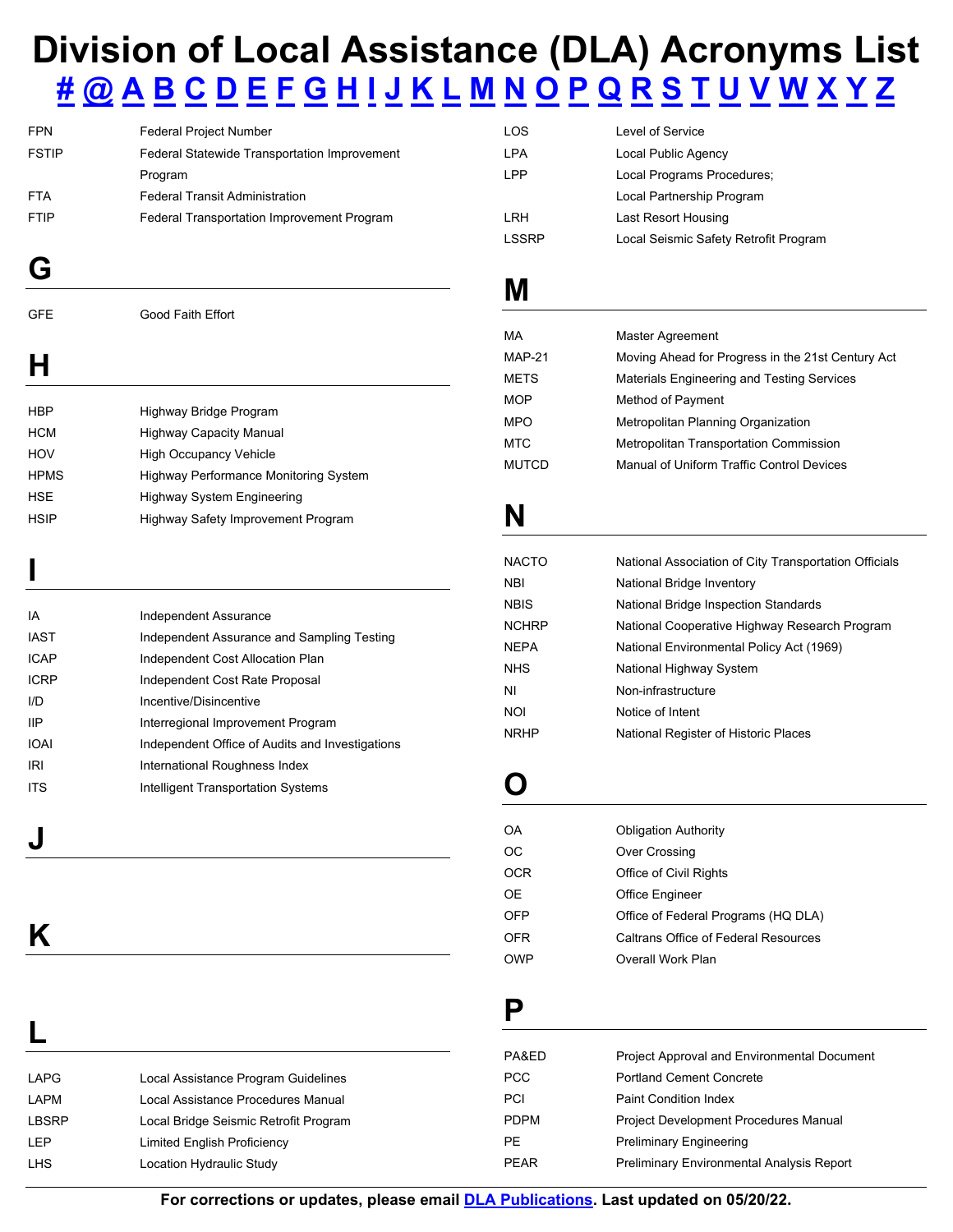# **Division of Local Assistance (DLA) Acronyms List** [#](#page-0-0) [@](#page-0-1) [A](#page-0-1) [B](#page-0-2) [C](#page-0-3) [D](#page-0-4) [E](#page-0-5) [F](#page-0-6) [G](#page-1-0) [H](#page-1-1) [I](#page-1-2) [J](#page-1-3) [K](#page-1-4) [L](#page-1-5) [M](#page-1-6) [N](#page-1-7) [O](#page-1-8) [P](#page-1-9) [Q](#page-2-0) [R](#page-2-1) [S](#page-2-2) [T](#page-2-3) [U](#page-2-4) [V](#page-2-5) [W](#page-2-6) [X](#page-2-7) [Y](#page-2-8) Z

<span id="page-1-0"></span>

| <b>FPN</b>   | Federal Project Number                       | <b>LOS</b>    | Level of Service                                  |
|--------------|----------------------------------------------|---------------|---------------------------------------------------|
| <b>FSTIP</b> | Federal Statewide Transportation Improvement | <b>LPA</b>    | Local Public Agency                               |
|              | Program                                      | <b>LPP</b>    | Local Programs Procedures;                        |
| <b>FTA</b>   | <b>Federal Transit Administration</b>        |               | Local Partnership Program                         |
| <b>FTIP</b>  | Federal Transportation Improvement Program   | LRH           | Last Resort Housing                               |
|              |                                              | <b>LSSRP</b>  | Local Seismic Safety Retrofit Program             |
| G            |                                              | Μ             |                                                   |
| <b>GFE</b>   | Good Faith Effort                            |               |                                                   |
|              |                                              | <b>MA</b>     | <b>Master Agreement</b>                           |
|              |                                              | <b>MAP-21</b> | Moving Ahead for Progress in the 21st Century Act |
|              |                                              | <b>METS</b>   | Materials Engineering and Testing Services        |
|              |                                              | <b>MOP</b>    | Method of Payment                                 |
| <b>HBP</b>   | Highway Bridge Program                       | <b>MPO</b>    | Metropolitan Planning Organization                |
| <b>HCM</b>   | <b>Highway Capacity Manual</b>               | <b>MTC</b>    | Metropolitan Transportation Commission            |
| HOV          | <b>High Occupancy Vehicle</b>                | <b>MUTCD</b>  | Manual of Uniform Traffic Control Devices         |
|              |                                              |               |                                                   |

<span id="page-1-7"></span><span id="page-1-6"></span>**MUTCD** 

<span id="page-1-2"></span>

|                      |                                                                                                                                                                                                                                | <b>NACTO</b> | National Association of City Transportation Officials |
|----------------------|--------------------------------------------------------------------------------------------------------------------------------------------------------------------------------------------------------------------------------|--------------|-------------------------------------------------------|
|                      |                                                                                                                                                                                                                                | <b>NBI</b>   | National Bridge Inventory                             |
|                      |                                                                                                                                                                                                                                | <b>NBIS</b>  | National Bridge Inspection Standards                  |
| IA                   | Independent Assurance                                                                                                                                                                                                          | <b>NCHRP</b> | National Cooperative Highway Research Program         |
| <b>IAST</b>          | Independent Assurance and Sampling Testing                                                                                                                                                                                     |              |                                                       |
| <b>ICAP</b>          | Independent Cost Allocation Plan                                                                                                                                                                                               | <b>NEPA</b>  | National Environmental Policy Act (1969)              |
|                      |                                                                                                                                                                                                                                | <b>NHS</b>   | National Highway System                               |
| <b>ICRP</b>          | Independent Cost Rate Proposal                                                                                                                                                                                                 |              |                                                       |
| I/D                  | Incentive/Disincentive                                                                                                                                                                                                         | ΝI           | Non-infrastructure                                    |
|                      |                                                                                                                                                                                                                                | <b>NOI</b>   | Notice of Intent                                      |
| IΙP                  | Interregional Improvement Program                                                                                                                                                                                              | <b>NRHP</b>  |                                                       |
| $\sim$ $\sim$ $\sim$ | the discussion of the CARD control Association of the control of the control of the control of the control of the control of the control of the control of the control of the control of the control of the control of the con |              | National Register of Historic Places                  |

<span id="page-1-10"></span><span id="page-1-8"></span>

| OA         | <b>Obligation Authority</b>          |
|------------|--------------------------------------|
| OС         | <b>Over Crossing</b>                 |
| <b>OCR</b> | Office of Civil Rights               |
| 0E         | <b>Office Engineer</b>               |
| OFP        | Office of Federal Programs (HQ DLA)  |
| OFR        | Caltrans Office of Federal Resources |
| <b>OWP</b> | Overall Work Plan                    |

#### <span id="page-1-9"></span>**P**

| PA&ED       | <b>Project Approval and Environmental Document</b> |
|-------------|----------------------------------------------------|
| PCC         | <b>Portland Cement Concrete</b>                    |
| <b>PCI</b>  | <b>Paint Condition Index</b>                       |
| <b>PDPM</b> | <b>Project Development Procedures Manual</b>       |
| PF.         | <b>Preliminary Engineering</b>                     |
| PFAR        | <b>Preliminary Environmental Analysis Report</b>   |

<span id="page-1-1"></span>**ICRP IOAI** HPMS Highway Performance Monitoring System HSE Highway System Engineering HSIP Highway Safety Improvement Program Incentive/Disincentive Interregional Improvement Program<br>Independent Office of Audits and Investigations International Roughness Index **Intelligent Transportation Systems J** OA Obligation Authority **K Caltrans Office of Federal Resources** 

## <span id="page-1-5"></span><span id="page-1-4"></span>**L**

IA

 ${\sf I/D}$ **IIP** 

<span id="page-1-11"></span><span id="page-1-3"></span>**IRI ITS** 

|              |                                       | PA&ED       | Project Approval and Environmental Docum         |
|--------------|---------------------------------------|-------------|--------------------------------------------------|
| <b>LAPG</b>  | Local Assistance Program Guidelines   | <b>PCC</b>  | <b>Portland Cement Concrete</b>                  |
| LAPM         | Local Assistance Procedures Manual    | PCI         | <b>Paint Condition Index</b>                     |
| <b>LBSRP</b> | Local Bridge Seismic Retrofit Program | <b>PDPM</b> | <b>Project Development Procedures Manual</b>     |
| LEP          | <b>Limited English Proficiency</b>    | <b>PE</b>   | <b>Preliminary Engineering</b>                   |
| <b>LHS</b>   | Location Hydraulic Study              | <b>PEAR</b> | <b>Preliminary Environmental Analysis Report</b> |

 **For corrections or updates, please email [DLA](mailto:Forms.Managemet.Unit@dot.ca.gov?subject=Revise/Update:%20Acronyms%20List) [Publications.](mailto:DLAPublications@dot.ca.gov) Last updated on 05/20/22.**